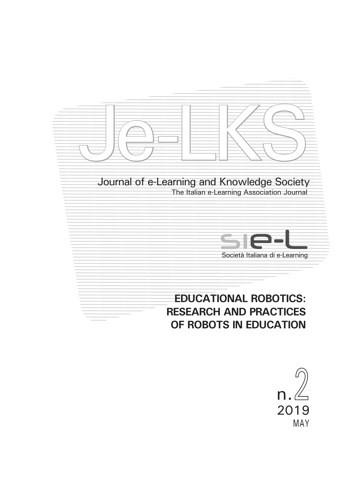

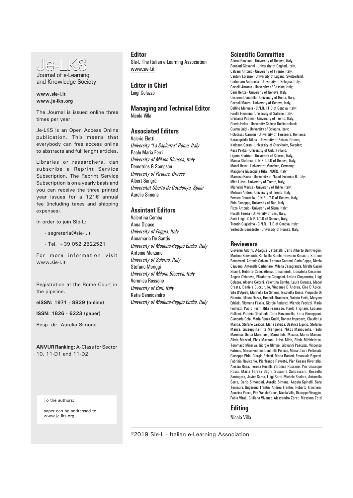

and Knowledge Society

## **www.sie-l.it www.je-lks.org**

The Journal is issued online three times per year.

Je-LKS is an Open Access Online publication. This means that everybody can free access online to abstracts and full lenght articles.

Libraries or researchers, can subscribe a Reprint Service Subscription. The Reprint Service Subscription is on a yearly basis and you can receive the three printed year issues for a 121€ annual fee (including taxes and shipping expenses).

In order to join SIe-L:

- segreteria@sie-l.it
- Tel. +39 052 2522521

For more information visit www.sie-l.it

Registration at the Rome Court in the pipeline.

**eISSN: 1971 - 8829 (online)**

**ISSN: 1826 - 6223 (paper)**

Resp. dir. Aurelio Simone

**ANVUR Ranking**: A-Class for Sector 10, 11-D1 and 11-D2

To the authors:

paper can be addressed to: www.je-lks.org

#### **Editor**

SIe-L The Italian e-Learning Association www.sie-l.it

**Editor in Chief** Luigi Colazzo

**Managing and Technical Editor** Nicola Villa

## **Associated Editors**

Valerio Eletti *University "La Sapienza" Roma, Italy* Paolo Maria Ferri *University of Milano Bicocca, Italy* Demetrios G Sampson *University of Piraeus, Greece* Albert Sangrà *Universitat Oberta de Catalunya, Spain* Aurelio Simone

## **Assintant Editors**

Valentina Comba Anna Dipace *University of Foggia, Italy* Annamaria De Santis *University of Modena-Reggio Emilia, Italy* Antonio Marzano *University of Salerno, Italy* Stefano Moriggi *University of Milano Bicocca, Italy*  Veronica Rossano *University of Bari, Italy*  Katia Sannicandro *University of Modena-Reggio Emilia, Italy*

#### **Scientific Committee**

Adorni Giovanni - University of Genova, Italy; Bonaiuti Giovanni - University of Cagliari, Italy, Calvani Antonio - University of Firenze, Italy; Cantoni Lorenzo - University of Lugano, Switzerland; Carbonaro Antonella - University of Bologna, Italy; Cartelli Antonio - University of Cassino, Italy; Cerri Renza - University of Genova, Italy; Cesareni Donatella - University of Roma, Italy; Coccoli Mauro - University of Genova, Italy; Delfino Manuela - C.N.R. I.T.D of Genova, Italy; Faiella Filomena, University of Salerno, Italy, Ghislandi Patrizia - University of Trento, Italy; Guerin Helen - University College Dublin Ireland; Guerra Luigi - University of Bologna, Italy; Holotescu Carmen - University of Timisoara, Romania; Karacapilidis Nikos - University of Patras, Greece; Karlsson Goran - University of Stockholm, Sweden; Kess Pekka - University of Oulu, Finland; Ligorio Beatrice - University of Salerno, Italy; Manca Stefania - C.N.R. I.T.D of Genova, Italy; Mandl Heinz - Universitat Munchen, Germany; Mangione Giuseppina Rita, INDIRE, Italy, Maresca Paolo - University of Napoli Federico II, Italy; Mich Luisa - University of Trento, Italy; Michelini Marisa - University of Udine, Italy; Molinari Andrea, University of Trento, Italy, Persico Donatella - C.N.R. I.T.D of Genova, Italy; Pirlo Giuseppe, University of Bari, Italy, Rizzo Antonio - University of Siena, Italy; Roselli Teresa - University of Bari, Italy, Sarti Luigi - C.N.R. I.T.D of Genova, Italy; Trentin Guglielmo - C.N.R. I.T.D of Genova, Italy; Vertecchi Benedetto - University of Roma3, Italy.

#### **Reviewers**

Giovanni Adorni, Adalgisa Battistelli, Carlo Alberto Bentivoglio, Martina Benvenuti, Raffaella Bombi, Giovanni Bonaiuti, Stefano Bonometti, Antonio Calvani, Lorenzo Cantoni, Carlo Cappa, Nicola Capuano, Antonella Carbonaro, Milena Casagranda, Mirella Casini Shaerf, Roberto Caso, Alessio Ceccherelli, Donatella Cesareni, Angelo Chianese, Elisabetta Cigognini, Letizia Cinganotto, Luigi Colazzo, Alberto Colorni, Valentina Comba, Laura Corazza, Madel Crasta, Daniela Cuccurullo, Vincenzo D'Andrea, Ciro D'Apice, Vito D'Aprile, Marinella De Simone, Nicoletta Dessì, Pierpaolo Di Bitonto, Liliana Dozza, Hendrik Drachsler, Valerio Eletti, Meryem Erbilek, Filomena Faiella, Giorgio Federici, Michele Fedrizzi, Mario Fedrizzi, Paolo Ferri, Rita Francese, Paolo Frignani, Luciano Galliani, Patrizia Ghislandi, Carlo Giovannella, Katia Giusepponi, Giancarlo Gola, Maria Renza Guelfi, Donato Impedovo, Claudio La Mantia, Stefano Lariccia, Maria Laterza, Beatrice Ligorio, Stefania Manca, Giuseppina Rita Mangione, Nikos Manouselis, Paolo Maresca, Giada Marinensi, Maria Lidia Mascia, Marco Masoni, Silvia Mazzini, Elvis Mazzoni, Luisa Mich, Silvia Michieletta, Tommaso Minerva, Giorgio Olimpo, Giovanni Pascuzzi, Vincenzo Patruno, Marco Pedroni, Donatella Persico, Maria Chiara Pettenati, Giuseppe Pirlo, Giorgio Poletti, Maria Ranieri, Emanuale Rapetti, Fabrizio Ravicchio, Pierfranco Ravotto, Pier Cesare Rivoltella, Alessia Rosa, Teresa Roselli, Veronica Rossano, Pier Giuseppe Rossi, Maria Teresa Sagri, Susanna Sancassani, Rossella Santagata, Javier Sarsa, Luigi Sarti, Michele Scalera, Antonella Serra, Dario Simoncini, Aurelio Simone, Angela Spinelli, Sara Tomasini, Guglielmo Trentin, Andrea Trentini, Roberto Trinchero, Annalisa Vacca, Piet Van de Craen, Nicola Villa, Giuseppe Visaggio, Fabio Vitali, Giuliano Vivanet, Alessandro Zorat, Massimo Zotti

#### **Editing**

Nicola Villa

©2019 SIe-L - Italian e-Learning Association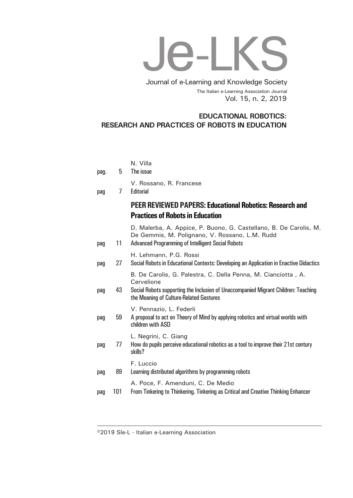# Je-LKS

Vol. 15, n. 2, 2019 Journal of e-Learning and Knowledge Society The Italian e-Learning Association Journal

# **EDUCATIONAL ROBOTICS: RESEARCH AND PRACTICES OF ROBOTS IN EDUCATION**

|      |     | N. Villa                                                                                                                                                                                                     |
|------|-----|--------------------------------------------------------------------------------------------------------------------------------------------------------------------------------------------------------------|
| pag. | 5   | The issue                                                                                                                                                                                                    |
| pag  | 7   | V. Rossano, R. Francese<br>Editorial                                                                                                                                                                         |
|      |     | <b>PEER REVIEWED PAPERS: Educational Robotics: Research and</b>                                                                                                                                              |
|      |     | <b>Practices of Robots in Education</b>                                                                                                                                                                      |
| pag  | 11  | D. Malerba, A. Appice, P. Buono, G. Castellano, B. De Carolis, M.<br>De Gemmis, M. Polignano, V. Rossano, L.M. Rudd<br><b>Advanced Programming of Intelligent Social Robots</b>                              |
| pag  | 27  | H. Lehmann, P.G. Rossi<br>Social Robots in Educational Contexts: Developing an Application in Enactive Didactics                                                                                             |
| pag  | 43  | B. De Carolis, G. Palestra, C. Della Penna, M. Cianciotta, A.<br>Cervelione<br>Social Robots supporting the Inclusion of Unaccompanied Migrant Children: Teaching<br>the Meaning of Culture-Related Gestures |
| pag  | 59  | V. Pennazio, L. Federli<br>A proposal to act on Theory of Mind by applying robotics and virtual worlds with<br>children with ASD                                                                             |
| pag  | 77  | L. Negrini, C. Giang<br>How do pupils perceive educational robotics as a tool to improve their 21st century<br>skills?                                                                                       |
| pag  | 89  | F. Luccio<br>Learning distributed algorithms by programming robots                                                                                                                                           |
| pag  | 101 | A. Poce, F. Amenduni, C. De Medio<br>From Tinkering to Thinkering. Tinkering as Critical and Creative Thinking Enhancer                                                                                      |

©2019 SIe-L - Italian e-Learning Association